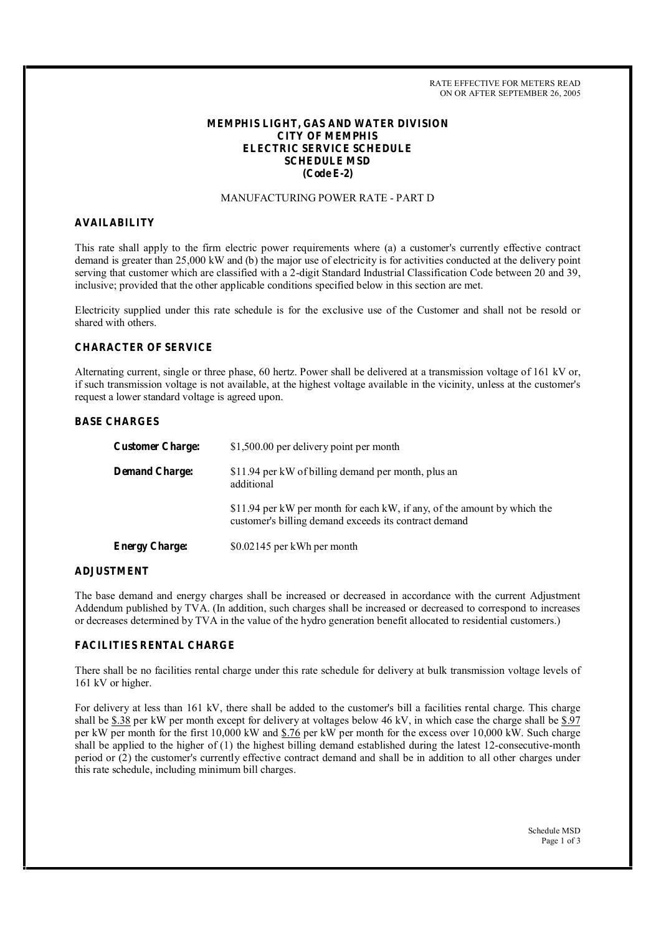RATE EFFECTIVE FOR METERS READ ON OR AFTER SEPTEMBER 26, 2005

# **MEMPHIS LIGHT, GAS AND WATER DIVISION CITY OF MEMPHIS ELECTRIC SERVICE SCHEDULE SCHEDULE MSD (Code E-2)**

# MANUFACTURING POWER RATE - PART D

# **AVAILABILITY**

This rate shall apply to the firm electric power requirements where (a) a customer's currently effective contract demand is greater than 25,000 kW and (b) the major use of electricity is for activities conducted at the delivery point serving that customer which are classified with a 2-digit Standard Industrial Classification Code between 20 and 39, inclusive; provided that the other applicable conditions specified below in this section are met.

Electricity supplied under this rate schedule is for the exclusive use of the Customer and shall not be resold or shared with others.

# **CHARACTER OF SERVICE**

Alternating current, single or three phase, 60 hertz. Power shall be delivered at a transmission voltage of 161 kV or, if such transmission voltage is not available, at the highest voltage available in the vicinity, unless at the customer's request a lower standard voltage is agreed upon.

# **BASE CHARGES**

| <b>Customer Charge:</b> | \$1,500.00 per delivery point per month                                                                                           |
|-------------------------|-----------------------------------------------------------------------------------------------------------------------------------|
| <b>Demand Charge:</b>   | \$11.94 per kW of billing demand per month, plus an<br>additional                                                                 |
|                         | \$11.94 per kW per month for each kW, if any, of the amount by which the<br>customer's billing demand exceeds its contract demand |
| <b>Energy Charge:</b>   | \$0.02145 per kWh per month                                                                                                       |

#### **ADJUSTMENT**

The base demand and energy charges shall be increased or decreased in accordance with the current Adjustment Addendum published by TVA. (In addition, such charges shall be increased or decreased to correspond to increases or decreases determined by TVA in the value of the hydro generation benefit allocated to residential customers.)

# **FACILITIES RENTAL CHARGE**

There shall be no facilities rental charge under this rate schedule for delivery at bulk transmission voltage levels of 161 kV or higher.

For delivery at less than 161 kV, there shall be added to the customer's bill a facilities rental charge. This charge shall be \$.38 per kW per month except for delivery at voltages below 46 kV, in which case the charge shall be \$.97 per kW per month for the first 10,000 kW and \$.76 per kW per month for the excess over 10,000 kW. Such charge shall be applied to the higher of (1) the highest billing demand established during the latest 12-consecutive-month period or (2) the customer's currently effective contract demand and shall be in addition to all other charges under this rate schedule, including minimum bill charges.

> Schedule MSD Page 1 of 3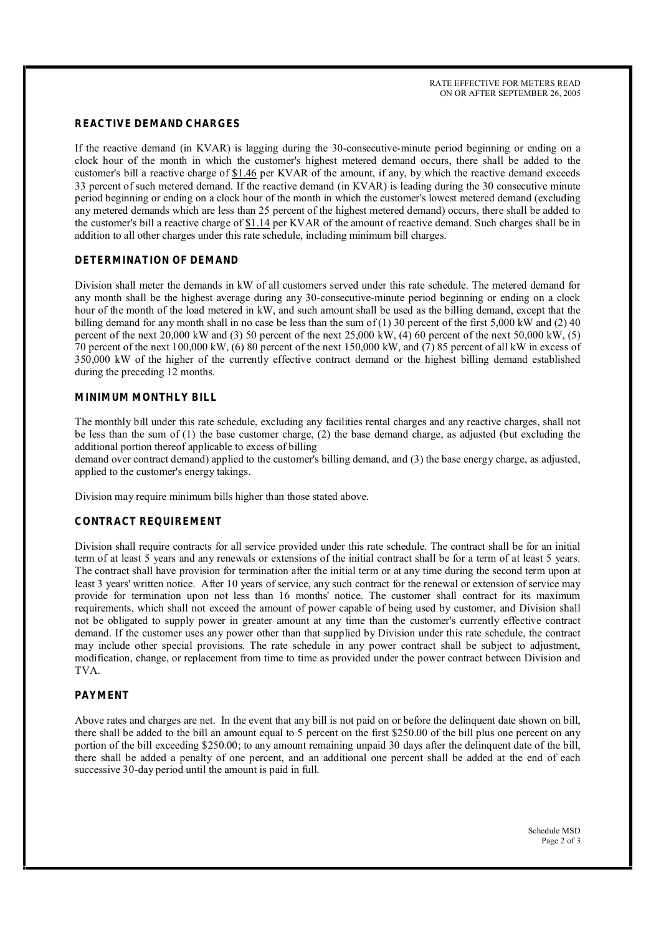#### **REACTIVE DEMAND CHARGES**

If the reactive demand (in KVAR) is lagging during the 30-consecutive-minute period beginning or ending on a clock hour of the month in which the customer's highest metered demand occurs, there shall be added to the customer's bill a reactive charge of \$1.46 per KVAR of the amount, if any, by which the reactive demand exceeds 33 percent of such metered demand. If the reactive demand (in KVAR) is leading during the 30 consecutive minute period beginning or ending on a clock hour of the month in which the customer's lowest metered demand (excluding any metered demands which are less than 25 percent of the highest metered demand) occurs, there shall be added to the customer's bill a reactive charge of \$1.14 per KVAR of the amount of reactive demand. Such charges shall be in addition to all other charges under this rate schedule, including minimum bill charges.

# **DETERMINATION OF DEMAND**

Division shall meter the demands in kW of all customers served under this rate schedule. The metered demand for any month shall be the highest average during any 30-consecutive-minute period beginning or ending on a clock hour of the month of the load metered in kW, and such amount shall be used as the billing demand, except that the billing demand for any month shall in no case be less than the sum of (1) 30 percent of the first 5,000 kW and (2) 40 percent of the next  $20,000 \text{ kW}$  and (3) 50 percent of the next  $25,000 \text{ kW}$ , (4) 60 percent of the next  $50,000 \text{ kW}$ , (5) 70 percent of the next 100,000 kW,  $(6)$  80 percent of the next 150,000 kW, and  $(7)$  85 percent of all kW in excess of 350,000 kW of the higher of the currently effective contract demand or the highest billing demand established during the preceding 12 months.

# **MINIMUM MONTHLY BILL**

The monthly bill under this rate schedule, excluding any facilities rental charges and any reactive charges, shall not be less than the sum of (1) the base customer charge, (2) the base demand charge, as adjusted (but excluding the additional portion thereof applicable to excess of billing

demand over contract demand) applied to the customer's billing demand, and (3) the base energy charge, as adjusted, applied to the customer's energy takings.

Division may require minimum bills higher than those stated above.

#### **CONTRACT REQUIREMENT**

Division shall require contracts for all service provided under this rate schedule. The contract shall be for an initial term of at least 5 years and any renewals or extensions of the initial contract shall be for a term of at least 5 years. The contract shall have provision for termination after the initial term or at any time during the second term upon at least 3 years' written notice. After 10 years of service, any such contract for the renewal or extension of service may provide for termination upon not less than 16 months' notice. The customer shall contract for its maximum requirements, which shall not exceed the amount of power capable of being used by customer, and Division shall not be obligated to supply power in greater amount at any time than the customer's currently effective contract demand. If the customer uses any power other than that supplied by Division under this rate schedule, the contract may include other special provisions. The rate schedule in any power contract shall be subject to adjustment, modification, change, or replacement from time to time as provided under the power contract between Division and TVA.

# **PAYMENT**

Above rates and charges are net. In the event that any bill is not paid on or before the delinquent date shown on bill, there shall be added to the bill an amount equal to 5 percent on the first \$250.00 of the bill plus one percent on any portion of the bill exceeding \$250.00; to any amount remaining unpaid 30 days after the delinquent date of the bill, there shall be added a penalty of one percent, and an additional one percent shall be added at the end of each successive 30-day period until the amount is paid in full.